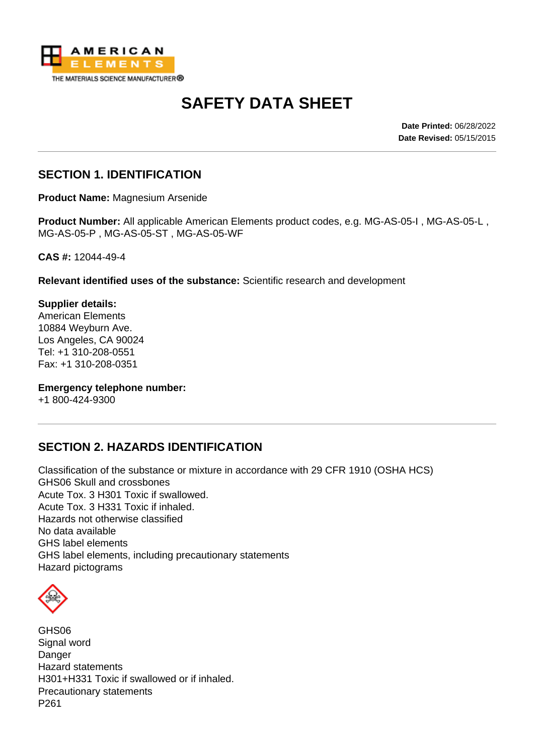

# **SAFETY DATA SHEET**

**Date Printed:** 06/28/2022 **Date Revised:** 05/15/2015

## **SECTION 1. IDENTIFICATION**

**Product Name:** Magnesium Arsenide

**Product Number:** All applicable American Elements product codes, e.g. MG-AS-05-I , MG-AS-05-L , MG-AS-05-P , MG-AS-05-ST , MG-AS-05-WF

**CAS #:** 12044-49-4

**Relevant identified uses of the substance:** Scientific research and development

**Supplier details:** American Elements 10884 Weyburn Ave. Los Angeles, CA 90024 Tel: +1 310-208-0551 Fax: +1 310-208-0351

**Emergency telephone number:**

+1 800-424-9300

## **SECTION 2. HAZARDS IDENTIFICATION**

Classification of the substance or mixture in accordance with 29 CFR 1910 (OSHA HCS) GHS06 Skull and crossbones Acute Tox. 3 H301 Toxic if swallowed. Acute Tox. 3 H331 Toxic if inhaled. Hazards not otherwise classified No data available GHS label elements GHS label elements, including precautionary statements Hazard pictograms

GHS06 Signal word Danger Hazard statements H301+H331 Toxic if swallowed or if inhaled. Precautionary statements P261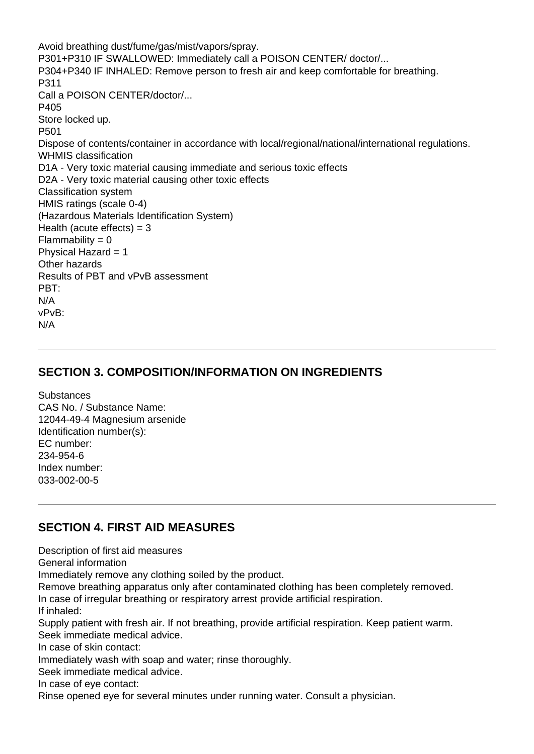Avoid breathing dust/fume/gas/mist/vapors/spray. P301+P310 IF SWALLOWED: Immediately call a POISON CENTER/ doctor/... P304+P340 IF INHALED: Remove person to fresh air and keep comfortable for breathing. P311 Call a POISON CENTER/doctor/... P405 Store locked up. P501 Dispose of contents/container in accordance with local/regional/national/international regulations. WHMIS classification D1A - Very toxic material causing immediate and serious toxic effects D2A - Very toxic material causing other toxic effects Classification system HMIS ratings (scale 0-4) (Hazardous Materials Identification System) Health (acute effects)  $=$  3  $Flammability = 0$ Physical Hazard = 1 Other hazards Results of PBT and vPvB assessment PBT: N/A vPvB: N/A

## **SECTION 3. COMPOSITION/INFORMATION ON INGREDIENTS**

**Substances** CAS No. / Substance Name: 12044-49-4 Magnesium arsenide Identification number(s): EC number: 234-954-6 Index number: 033-002-00-5

# **SECTION 4. FIRST AID MEASURES**

Description of first aid measures General information Immediately remove any clothing soiled by the product. Remove breathing apparatus only after contaminated clothing has been completely removed. In case of irregular breathing or respiratory arrest provide artificial respiration. If inhaled: Supply patient with fresh air. If not breathing, provide artificial respiration. Keep patient warm. Seek immediate medical advice. In case of skin contact: Immediately wash with soap and water; rinse thoroughly. Seek immediate medical advice. In case of eye contact: Rinse opened eye for several minutes under running water. Consult a physician.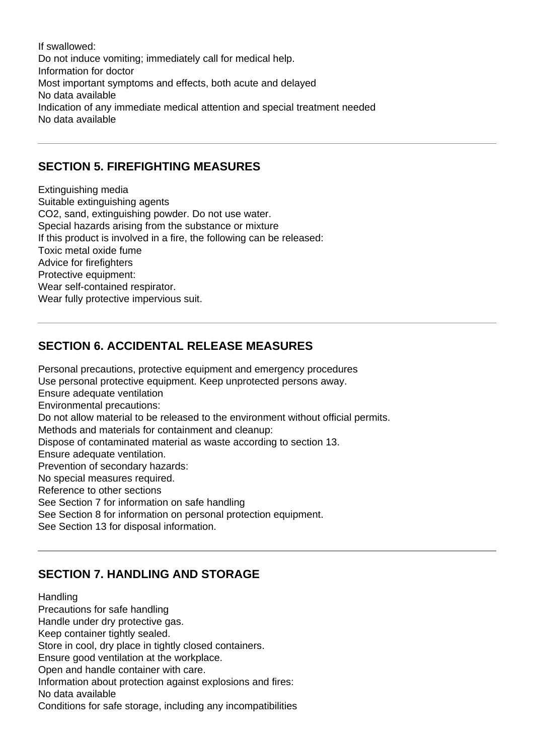If swallowed: Do not induce vomiting; immediately call for medical help. Information for doctor Most important symptoms and effects, both acute and delayed No data available Indication of any immediate medical attention and special treatment needed No data available

## **SECTION 5. FIREFIGHTING MEASURES**

Extinguishing media Suitable extinguishing agents CO2, sand, extinguishing powder. Do not use water. Special hazards arising from the substance or mixture If this product is involved in a fire, the following can be released: Toxic metal oxide fume Advice for firefighters Protective equipment: Wear self-contained respirator. Wear fully protective impervious suit.

# **SECTION 6. ACCIDENTAL RELEASE MEASURES**

Personal precautions, protective equipment and emergency procedures Use personal protective equipment. Keep unprotected persons away. Ensure adequate ventilation Environmental precautions: Do not allow material to be released to the environment without official permits. Methods and materials for containment and cleanup: Dispose of contaminated material as waste according to section 13. Ensure adequate ventilation. Prevention of secondary hazards: No special measures required. Reference to other sections See Section 7 for information on safe handling See Section 8 for information on personal protection equipment. See Section 13 for disposal information.

# **SECTION 7. HANDLING AND STORAGE**

Handling Precautions for safe handling Handle under dry protective gas. Keep container tightly sealed. Store in cool, dry place in tightly closed containers. Ensure good ventilation at the workplace. Open and handle container with care. Information about protection against explosions and fires: No data available Conditions for safe storage, including any incompatibilities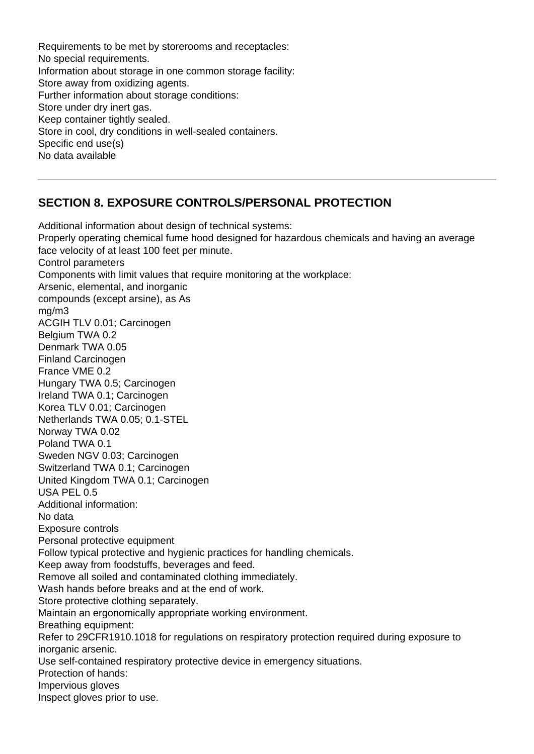Requirements to be met by storerooms and receptacles: No special requirements. Information about storage in one common storage facility: Store away from oxidizing agents. Further information about storage conditions: Store under dry inert gas. Keep container tightly sealed. Store in cool, dry conditions in well-sealed containers. Specific end use(s) No data available

# **SECTION 8. EXPOSURE CONTROLS/PERSONAL PROTECTION**

Additional information about design of technical systems: Properly operating chemical fume hood designed for hazardous chemicals and having an average face velocity of at least 100 feet per minute. Control parameters Components with limit values that require monitoring at the workplace: Arsenic, elemental, and inorganic compounds (except arsine), as As mg/m3 ACGIH TLV 0.01; Carcinogen Belgium TWA 0.2 Denmark TWA 0.05 Finland Carcinogen France VME 0.2 Hungary TWA 0.5; Carcinogen Ireland TWA 0.1; Carcinogen Korea TLV 0.01; Carcinogen Netherlands TWA 0.05; 0.1-STEL Norway TWA 0.02 Poland TWA 0.1 Sweden NGV 0.03; Carcinogen Switzerland TWA 0.1; Carcinogen United Kingdom TWA 0.1; Carcinogen USA PEL 0.5 Additional information: No data Exposure controls Personal protective equipment Follow typical protective and hygienic practices for handling chemicals. Keep away from foodstuffs, beverages and feed. Remove all soiled and contaminated clothing immediately. Wash hands before breaks and at the end of work. Store protective clothing separately. Maintain an ergonomically appropriate working environment. Breathing equipment: Refer to 29CFR1910.1018 for regulations on respiratory protection required during exposure to inorganic arsenic. Use self-contained respiratory protective device in emergency situations. Protection of hands: Impervious gloves Inspect gloves prior to use.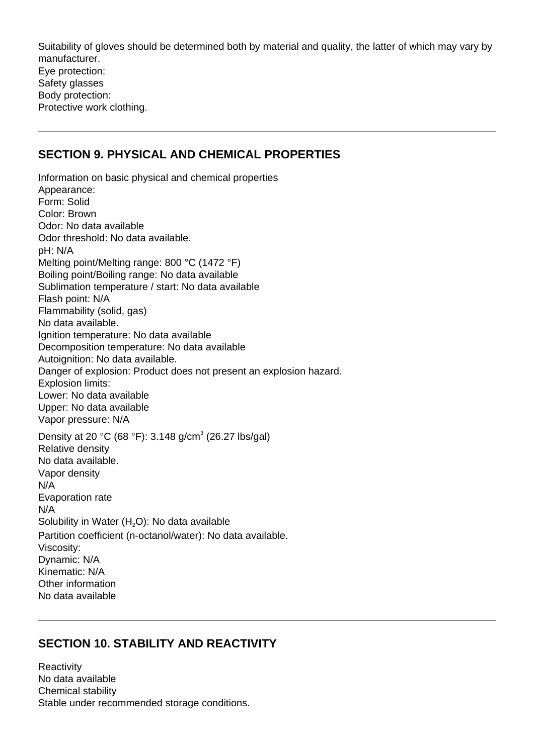Suitability of gloves should be determined both by material and quality, the latter of which may vary by manufacturer. Eye protection: Safety glasses Body protection: Protective work clothing.

#### **SECTION 9. PHYSICAL AND CHEMICAL PROPERTIES**

Information on basic physical and chemical properties Appearance: Form: Solid Color: Brown Odor: No data available Odor threshold: No data available. pH: N/A Melting point/Melting range: 800 °C (1472 °F) Boiling point/Boiling range: No data available Sublimation temperature / start: No data available Flash point: N/A Flammability (solid, gas) No data available. Ignition temperature: No data available Decomposition temperature: No data available Autoignition: No data available. Danger of explosion: Product does not present an explosion hazard. Explosion limits: Lower: No data available Upper: No data available Vapor pressure: N/A Density at 20 °C (68 °F): 3.148 g/cm<sup>3</sup> (26.27 lbs/gal) Relative density No data available. Vapor density N/A Evaporation rate N/A Solubility in Water  $(H_2O)$ : No data available Partition coefficient (n-octanol/water): No data available. Viscosity: Dynamic: N/A Kinematic: N/A Other information No data available

## **SECTION 10. STABILITY AND REACTIVITY**

**Reactivity** No data available Chemical stability Stable under recommended storage conditions.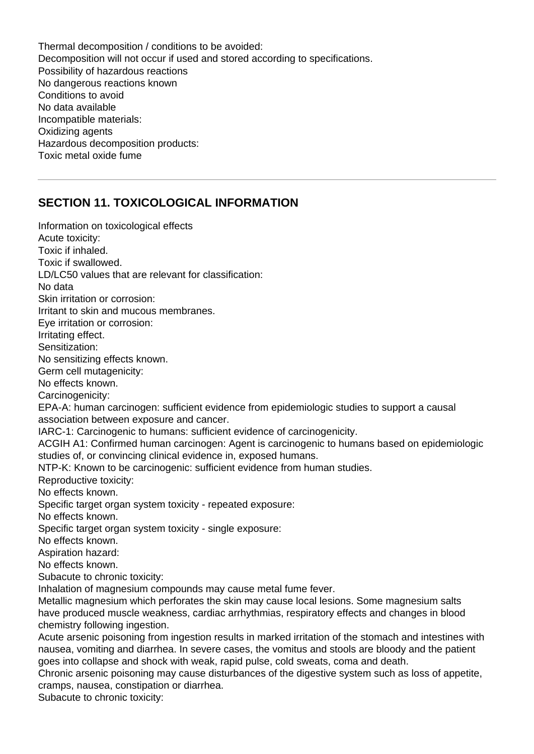Thermal decomposition / conditions to be avoided: Decomposition will not occur if used and stored according to specifications. Possibility of hazardous reactions No dangerous reactions known Conditions to avoid No data available Incompatible materials: Oxidizing agents Hazardous decomposition products: Toxic metal oxide fume

## **SECTION 11. TOXICOLOGICAL INFORMATION**

Information on toxicological effects Acute toxicity: Toxic if inhaled. Toxic if swallowed. LD/LC50 values that are relevant for classification: No data Skin irritation or corrosion: Irritant to skin and mucous membranes. Eye irritation or corrosion: Irritating effect. Sensitization: No sensitizing effects known. Germ cell mutagenicity: No effects known. Carcinogenicity: EPA-A: human carcinogen: sufficient evidence from epidemiologic studies to support a causal association between exposure and cancer. IARC-1: Carcinogenic to humans: sufficient evidence of carcinogenicity. ACGIH A1: Confirmed human carcinogen: Agent is carcinogenic to humans based on epidemiologic studies of, or convincing clinical evidence in, exposed humans. NTP-K: Known to be carcinogenic: sufficient evidence from human studies. Reproductive toxicity: No effects known. Specific target organ system toxicity - repeated exposure: No effects known. Specific target organ system toxicity - single exposure: No effects known. Aspiration hazard: No effects known. Subacute to chronic toxicity: Inhalation of magnesium compounds may cause metal fume fever. Metallic magnesium which perforates the skin may cause local lesions. Some magnesium salts have produced muscle weakness, cardiac arrhythmias, respiratory effects and changes in blood chemistry following ingestion. Acute arsenic poisoning from ingestion results in marked irritation of the stomach and intestines with nausea, vomiting and diarrhea. In severe cases, the vomitus and stools are bloody and the patient goes into collapse and shock with weak, rapid pulse, cold sweats, coma and death. Chronic arsenic poisoning may cause disturbances of the digestive system such as loss of appetite, cramps, nausea, constipation or diarrhea.

Subacute to chronic toxicity: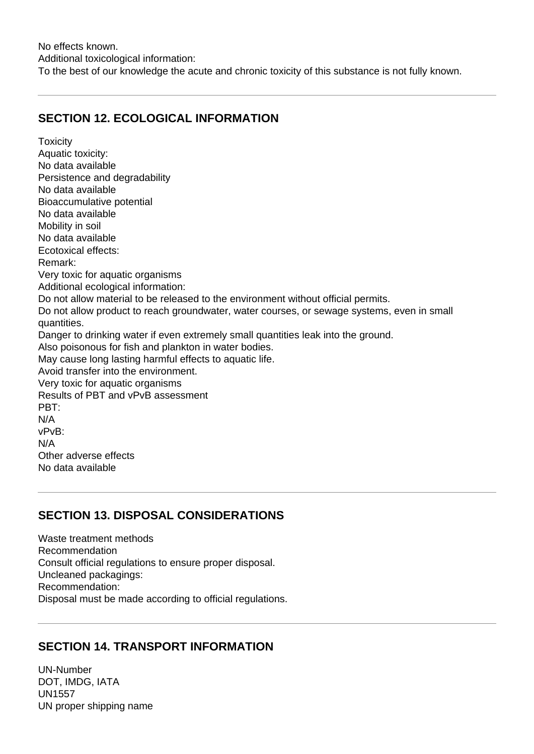No effects known. Additional toxicological information: To the best of our knowledge the acute and chronic toxicity of this substance is not fully known.

## **SECTION 12. ECOLOGICAL INFORMATION**

**Toxicity** Aquatic toxicity: No data available Persistence and degradability No data available Bioaccumulative potential No data available Mobility in soil No data available Ecotoxical effects: Remark: Very toxic for aquatic organisms Additional ecological information: Do not allow material to be released to the environment without official permits. Do not allow product to reach groundwater, water courses, or sewage systems, even in small quantities. Danger to drinking water if even extremely small quantities leak into the ground. Also poisonous for fish and plankton in water bodies. May cause long lasting harmful effects to aquatic life. Avoid transfer into the environment. Very toxic for aquatic organisms Results of PBT and vPvB assessment PBT: N/A vPvB: N/A Other adverse effects No data available

## **SECTION 13. DISPOSAL CONSIDERATIONS**

Waste treatment methods Recommendation Consult official regulations to ensure proper disposal. Uncleaned packagings: Recommendation: Disposal must be made according to official regulations.

# **SECTION 14. TRANSPORT INFORMATION**

UN-Number DOT, IMDG, IATA UN1557 UN proper shipping name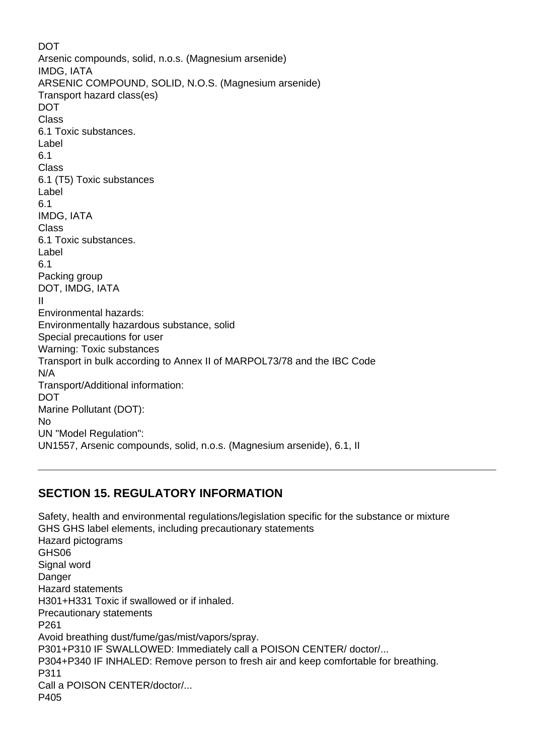**DOT** Arsenic compounds, solid, n.o.s. (Magnesium arsenide) IMDG, IATA ARSENIC COMPOUND, SOLID, N.O.S. (Magnesium arsenide) Transport hazard class(es) DOT Class 6.1 Toxic substances. Label 6.1 Class 6.1 (T5) Toxic substances Label 6.1 IMDG, IATA Class 6.1 Toxic substances. Label 6.1 Packing group DOT, IMDG, IATA II Environmental hazards: Environmentally hazardous substance, solid Special precautions for user Warning: Toxic substances Transport in bulk according to Annex II of MARPOL73/78 and the IBC Code N/A Transport/Additional information: DOT Marine Pollutant (DOT): No UN "Model Regulation": UN1557, Arsenic compounds, solid, n.o.s. (Magnesium arsenide), 6.1, II

# **SECTION 15. REGULATORY INFORMATION**

Safety, health and environmental regulations/legislation specific for the substance or mixture GHS GHS label elements, including precautionary statements Hazard pictograms GHS06 Signal word **Danger** Hazard statements H301+H331 Toxic if swallowed or if inhaled. Precautionary statements P261 Avoid breathing dust/fume/gas/mist/vapors/spray. P301+P310 IF SWALLOWED: Immediately call a POISON CENTER/ doctor/... P304+P340 IF INHALED: Remove person to fresh air and keep comfortable for breathing. P311 Call a POISON CENTER/doctor/... P405